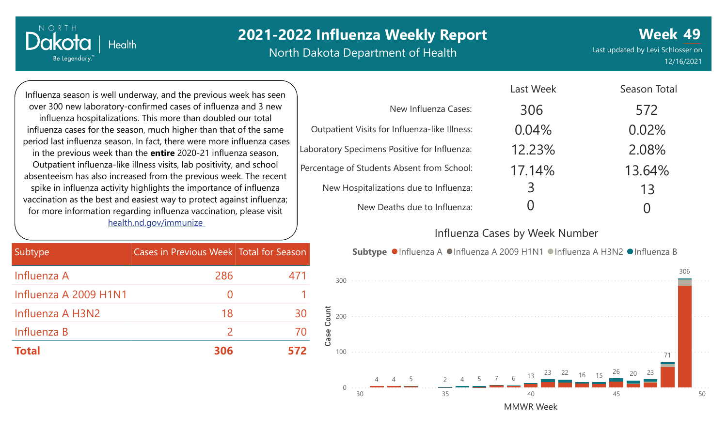North Dakota Department of Health

**Week 49** Last updated by Levi Schlosser on 12/16/2021

Influenza season is well underway, and the previous week has seen over 300 new laboratory-confirmed cases of influenza and 3 new influenza hospitalizations. This more than doubled our total influenza cases for the season, m period last influenza season. In fact in the previous week than the **e** Outpatient influenza-like illness absenteeism has also increased from spike in influenza activity highlights vaccination as the best and easies for more information regarding health.nd.go

**Health** 

NORTH

Dakota

Be Legendary.

| huch higher than that of the same                                                                  | Outpatient visits for influenza-like liiness:<br>U. |
|----------------------------------------------------------------------------------------------------|-----------------------------------------------------|
| ct, there were more influenza cases<br>entire 2020-21 influenza season.                            | 12<br>Laboratory Specimens Positive for Influenza:  |
| s visits, lab positivity, and school<br>rom the previous week. The recent                          | Percentage of Students Absent from School:<br>17    |
| ghts the importance of influenza                                                                   | New Hospitalizations due to Influenza:              |
| st way to protect against influenza;<br>influenza vaccination, please visit<br><u>ov/immunize_</u> | New Deaths due to Influenza:                        |
|                                                                                                    | Influenza Cases by                                  |
| s in Previous Week Total for Season                                                                | Subtype ● Influenza A ● Influenza A 2009 H          |
| 286                                                                                                |                                                     |

|                                               | Last Week | Season Total |
|-----------------------------------------------|-----------|--------------|
| New Influenza Cases:                          | 306       | 572          |
| Outpatient Visits for Influenza-like Illness: | 0.04%     | 0.02%        |
| ooratory Specimens Positive for Influenza:    | 12.23%    | 2.08%        |
| rcentage of Students Absent from School:      | 17.14%    | 13.64%       |
| New Hospitalizations due to Influenza:        | 3         | 13           |
| New Deaths due to Influenza:                  |           |              |

#### Week Number

Last Weekly

**Subtype Influenza A H3N2 ● Influenza B** 



| Subtype               | Cases in Previous Week Total for Season |     |
|-----------------------|-----------------------------------------|-----|
| Influenza A           | 286                                     | 471 |
| Influenza A 2009 H1N1 |                                         |     |
| Influenza A H3N2      | 18                                      | 30  |
| Influenza B           | $\mathcal{P}$                           | 70  |
| <b>Total</b>          | 306                                     | 572 |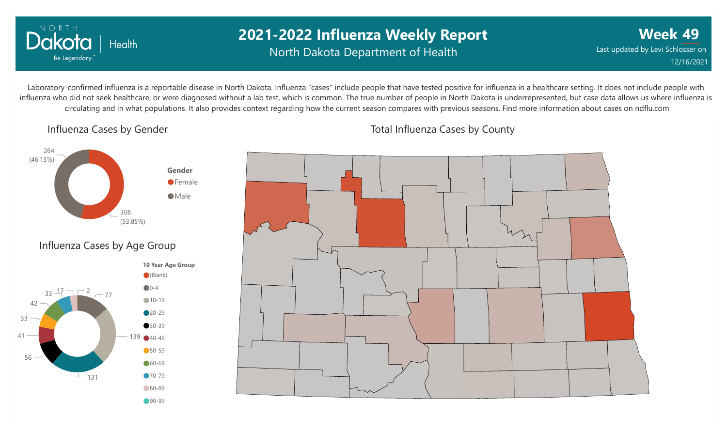

## **2021-2022 Influenza Weekly Report** North Dakota Department of Health

**Week 49** Last updated by Levi Schlosser on 12/16/2021

Laboratory-confirmed influenza is a reportable disease in North Dakota. Influenza "cases" include people that have tested positive for influenza in a healthcare setting. It does not include people with influenza who did not seek healthcare, or were diagnosed without a lab test, which is common. The true number of people in North Dakota is underrepresented, but case data allows us where influenza is circulating and in what populations. It also provides context regarding how the current season compares with previous seasons. Find more information about cases on ndflu.com

Influenza Cases by Gender





Total Influenza Cases by County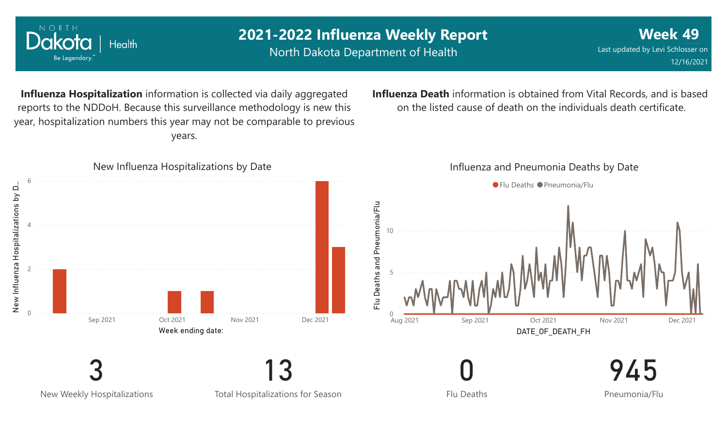

NORTH

Dakota

Be Legendary.

Health

North Dakota Department of Health

Last updated by Levi Schlosser on 12/16/2021

**Week 49**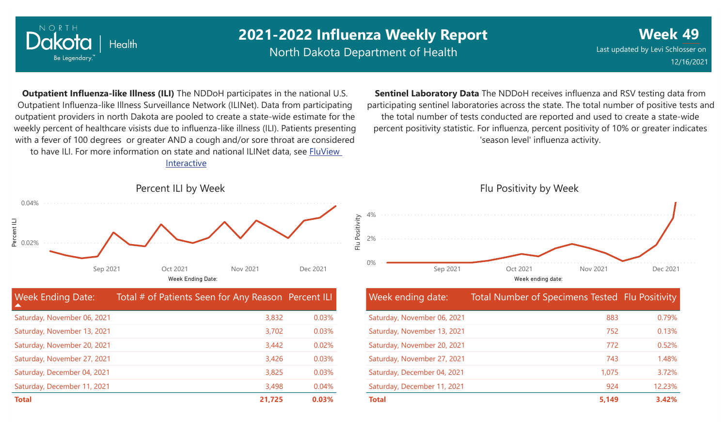

North Dakota Department of Health

Flu Positivity

**Week 49** Last updated by Levi Schlosser on 12/16/2021

**Outpatient Influenza-like Illness (ILI)** The NDDoH participates in the national U.S. Outpatient Influenza-like Illness Surveillance Network (ILINet). Data from participating outpatient providers in north Dakota are pooled to create a state-wide estimate for the weekly percent of healthcare visists due to influenza-like illness (ILI). Patients presenting with a fever of 100 degrees or greater AND a cough and/or sore throat are considered to have ILI. For more information [on state and national ILINet data, see FluView](http://fluview%20interactive/) Interactive

**Sentinel Laboratory Data** The NDDoH receives influenza and RSV testing data from participating sentinel laboratories across the state. The total number of positive tests and the total number of tests conducted are reported and used to create a state-wide percent positivity statistic. For influenza, percent positivity of 10% or greater indicates 'season level' influenza activity.



| <b>Week Ending Date:</b><br>▲ | Total # of Patients Seen for Any Reason Percent ILI |       |
|-------------------------------|-----------------------------------------------------|-------|
| Saturday, November 06, 2021   | 3,832                                               | 0.03% |
| Saturday, November 13, 2021   | 3,702                                               | 0.03% |
| Saturday, November 20, 2021   | 3,442                                               | 0.02% |
| Saturday, November 27, 2021   | 3,426                                               | 0.03% |
| Saturday, December 04, 2021   | 3,825                                               | 0.03% |
| Saturday, December 11, 2021   | 3,498                                               | 0.04% |
| <b>Total</b>                  | 21,725                                              | 0.03% |

# Flu Positivity by Week 0% 2% 4% Sep 2021 Oct 2021 Nov 2021 Dec 2021

Week ending date:

#### Week ending date: Total Number of Specimens Tested Flu Positivity Saturday, November 06, 2021 Saturday, November 13, 2021 Saturday, November 20, 2021 Saturday, November 27, 2021 Saturday, December 04, 2021 Saturday, December 11, 2021 883 752 772 743 1,075 924 0.79% 0.13% 0.52% 1.48% 3.72% 12.23% **Total 5,149 3.42%**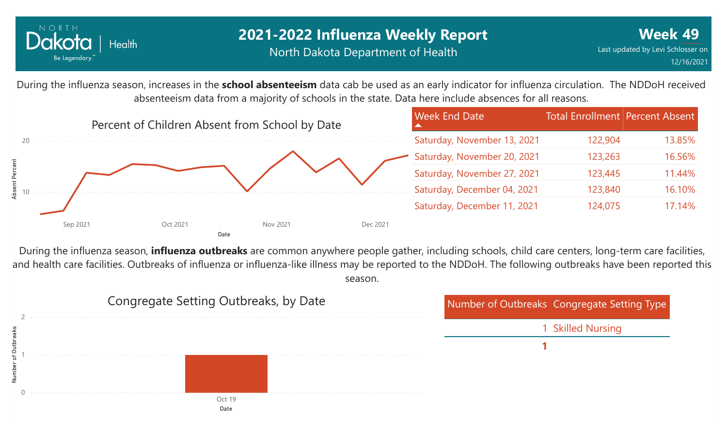

## **2021-2022 Influenza Weekly Report** North Dakota Department of Health

During the influenza season, increases in the **school absenteeism** data cab be used as an early indicator for influenza circulation. The NDDoH received absenteeism data from a majority of schools in the state. Data here include absences for all reasons.



During the influenza season, **influenza outbreaks** are common anywhere people gather, including schools, child care centers, long-term care facilities, and health care facilities. Outbreaks of influenza or influenza-like illness may be reported to the NDDoH. The following outbreaks have been reported this season.

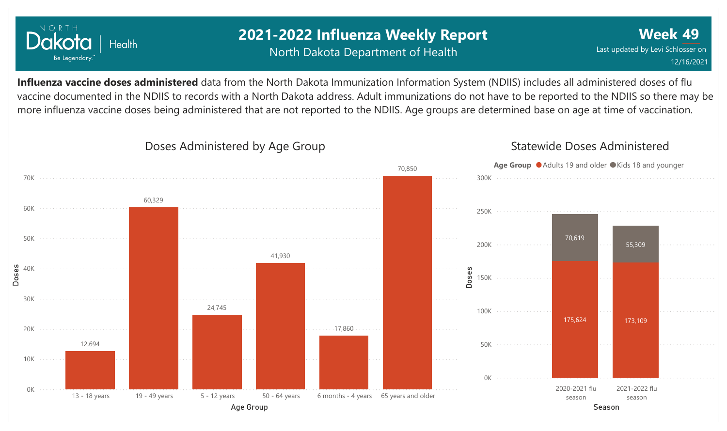

## **2021-2022 Influenza Weekly Report** North Dakota Department of Health

**Week 49** Last updated by Levi Schlosser on 12/16/2021

**Influenza vaccine doses administered** data from the North Dakota Immunization Information System (NDIIS) includes all administered doses of flu vaccine documented in the NDIIS to records with a North Dakota address. Adult immunizations do not have to be reported to the NDIIS so there may be more influenza vaccine doses being administered that are not reported to the NDIIS. Age groups are determined base on age at time of vaccination.



#### Doses Administered by Age Group

#### Statewide Doses Administered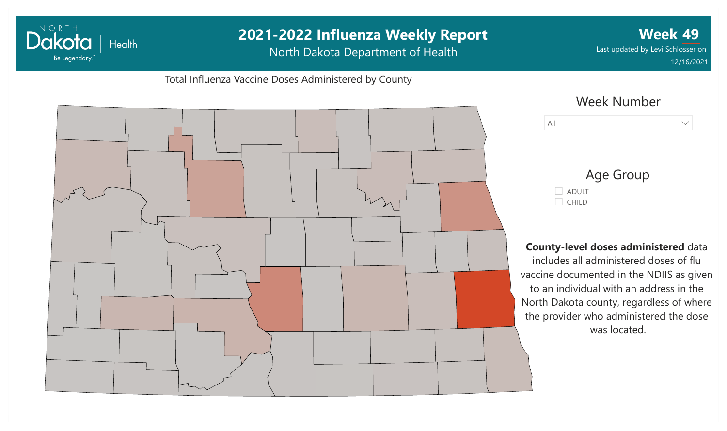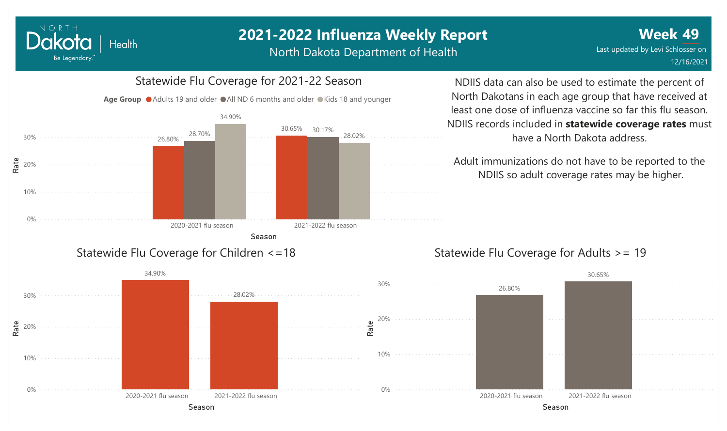North Dakota Department of Health

#### Statewide Flu Coverage for 2021-22 Season 0% 10% 20% 30% Season 2020-2021 flu season 2021-2022 flu season 26.80% 30.65% 28.70% 30.17% 34.90% 28.02% Age Group ● Adults 19 and older ● All ND 6 months and older ● Kids 18 and younger Statewide Flu Coverage for Children <=18

Rate

NORTH

Dakota

Be Legendary.

**Health** 

NDIIS data can also be used to estimate the percent of North Dakotans in each age group that have received at least one dose of influenza vaccine so far this flu season. NDIIS records included in **statewide coverage rates** must have a North Dakota address.

Adult immunizations do not have to be reported to the NDIIS so adult coverage rates may be higher.

#### Statewide Flu Coverage for Adults >= 19